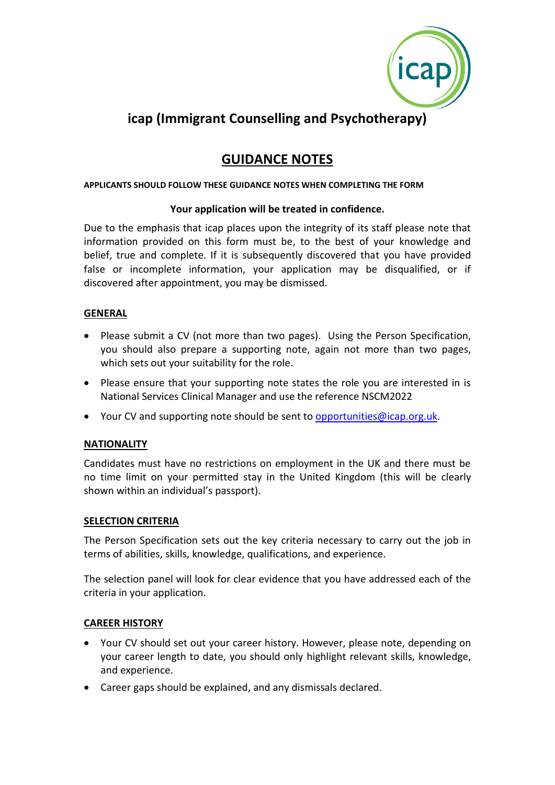

# **icap (Immigrant Counselling and Psychotherapy)**

# **GUIDANCE NOTES**

#### **APPLICANTS SHOULD FOLLOW THESE GUIDANCE NOTES WHEN COMPLETING THE FORM**

#### **Your application will be treated in confidence.**

Due to the emphasis that icap places upon the integrity of its staff please note that information provided on this form must be, to the best of your knowledge and belief, true and complete. If it is subsequently discovered that you have provided false or incomplete information, your application may be disqualified, or if discovered after appointment, you may be dismissed.

# **GENERAL**

- Please submit a CV (not more than two pages). Using the Person Specification, you should also prepare a supporting note, again not more than two pages, which sets out your suitability for the role.
- Please ensure that your supporting note states the role you are interested in is National Services Clinical Manager and use the reference NSCM2022
- Your CV and supporting note should be sent to [opportunities@icap.org.uk.](mailto:opportunities@icap.org.uk)

#### **NATIONALITY**

Candidates must have no restrictions on employment in the UK and there must be no time limit on your permitted stay in the United Kingdom (this will be clearly shown within an individual's passport).

#### **SELECTION CRITERIA**

The Person Specification sets out the key criteria necessary to carry out the job in terms of abilities, skills, knowledge, qualifications, and experience.

The selection panel will look for clear evidence that you have addressed each of the criteria in your application.

#### **CAREER HISTORY**

- Your CV should set out your career history. However, please note, depending on your career length to date, you should only highlight relevant skills, knowledge, and experience.
- Career gaps should be explained, and any dismissals declared.